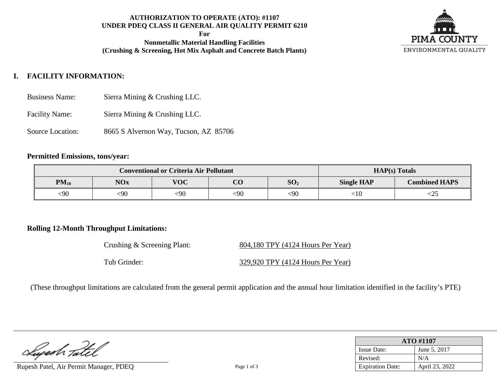# **AUTHORIZATION TO OPERATE (ATO): #1107 UNDER PDEQ CLASS II GENERAL AIR QUALITY PERMIT 6210**

**For**

**Nonmetallic Material Handling Facilities (Crushing & Screening, Hot Mix Asphalt and Concrete Batch Plants)**



# **I. FACILITY INFORMATION:**

- Business Name: Sierra Mining & Crushing LLC.
- Facility Name: Sierra Mining & Crushing LLC.
- Source Location: 8665 S Alvernon Way, Tucson, AZ 85706

### **Permitted Emissions, tons/year:**

|           | <b>Conventional or Criteria Air Pollutant</b> | $HAP(s)$ Totals |          |                 |                   |                      |
|-----------|-----------------------------------------------|-----------------|----------|-----------------|-------------------|----------------------|
| $PM_{10}$ | <b>NOx</b>                                    | <b>VOC</b>      | $\Omega$ | SO <sub>2</sub> | <b>Single HAP</b> | <b>Combined HAPS</b> |
| <90       | ∶90                                           | <90             | <90      | $90$            | ∶10               | ∠2J                  |

### **Rolling 12-Month Throughput Limitations:**

| Crushing & Screening Plant: | 804,180 TPY (4124 Hours Per Year) |
|-----------------------------|-----------------------------------|
| Tub Grinder:                | 329,920 TPY (4124 Hours Per Year) |

(These throughput limitations are calculated from the general permit application and the annual hour limitation identified in the facility's PTE)

| Luperh Tatel |  |
|--------------|--|

Rupesh Patel, Air Permit Manager, PDEQ Page 1 of 3

| <b>ATO #1107</b>        |                |  |  |  |
|-------------------------|----------------|--|--|--|
| <b>Issue Date:</b>      | June 5, 2017   |  |  |  |
| Revised:                | N/A            |  |  |  |
| <b>Expiration Date:</b> | April 23, 2022 |  |  |  |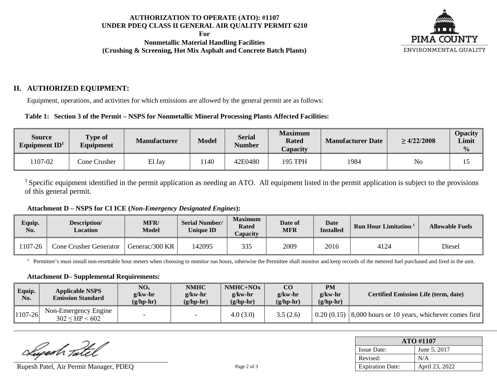### **AUTHORIZATION TO OPERATE (ATO): #1107 UNDER PDEQ CLASS II GENERAL AIR QUALITY PERMIT 6210**

**For**

**Nonmetallic Material Handling Facilities (Crushing & Screening, Hot Mix Asphalt and Concrete Batch Plants)**



# **II. AUTHORIZED EQUIPMENT:**

Equipment, operations, and activities for which emissions are allowed by the general permit are as follows:

### **Table 1: Section 3 of the Permit – NSPS for Nonmetallic Mineral Processing Plants Affected Facilities:**

| Source<br>Equipment $ID1$ | <b>Type of</b><br>Equipment | <b>Manufacturer</b> | <b>Model</b> | <b>Serial</b><br><b>Number</b> | <b>Maximum</b><br><b>Rated</b><br><i>Capacity</i> | <b>Manufacturer Date</b> | $\geq 4/22/2008$ | <b>Opacity</b><br>Limit<br>$\frac{0}{0}$ |
|---------------------------|-----------------------------|---------------------|--------------|--------------------------------|---------------------------------------------------|--------------------------|------------------|------------------------------------------|
| 107-02                    | Cone Crusher                | El Jay              | 1140         | 42E0480                        | 195 TPH                                           | 1984                     | No               | ⊥ັ                                       |

 $<sup>1</sup>$  Specific equipment identified in the permit application as needing an ATO. All equipment listed in the permit application is subject to the provisions</sup> of this general permit.

**Attachment D – NSPS for CI ICE (***Non-Emergency Designated Engines***):**

| Equip.<br>No. | Description/<br>Location      | <b>MFR/</b><br><b>Model</b> | <b>Serial Number/</b><br><b>Unique ID</b> | <b>Maximum</b><br><b>Rated</b><br>Capacity | Date of<br>MFR | Date<br><b>Installed</b> | <b>Run Hour Limitation</b> <sup>1</sup> | <b>Allowable Fuels</b> |
|---------------|-------------------------------|-----------------------------|-------------------------------------------|--------------------------------------------|----------------|--------------------------|-----------------------------------------|------------------------|
| 1107-26       | <b>Cone Crusher Generator</b> | Generac/300 KR              | 142095                                    | 335                                        | 2009           | 2016                     | 4124                                    | <b>Diesel</b>          |

<sup>1.</sup> Permittee's must install non-resettable hour meters when choosing to monitor run hours, otherwise the Permittee shall monitor and keep records of the metered fuel purchased and fired in the unit.

#### **Attachment D– Supplemental Requirements:**

| Equip.<br>No. | <b>Applicable NSPS</b><br><b>Emission Standard</b> | NO <sub>x</sub><br>$g/kw-hr$<br>$(g/hp-hr)$ | <b>NMHC</b><br>$g$ /kw-hr<br>$(g/hp-hr)$ | $NMHC+NOx$<br>$g$ /kw-hr<br>$(g/hp-hr)$ | $\bf CO$<br>$g$ /kw-hr<br>$(g/hp-hr)$ | <b>PM</b><br>$g$ /kw-hr<br>$(g/hp-hr)$ | <b>Certified Emission Life (term, date)</b>                                           |
|---------------|----------------------------------------------------|---------------------------------------------|------------------------------------------|-----------------------------------------|---------------------------------------|----------------------------------------|---------------------------------------------------------------------------------------|
| $1107 - 26$   | Non-Emergency Engine<br>$302 \leq HP < 602$        |                                             |                                          | 4.0(3.0)                                | 3.5(2.6)                              |                                        | $\vert 0.20(0.15) \vert 8,000$ hours or 10 years, whichever comes first $\vert \vert$ |

Lugesh Tatel

Rupesh Patel, Air Permit Manager, PDEO Page 2 of 3

| <b>ATO #1107</b>        |                |  |  |  |
|-------------------------|----------------|--|--|--|
| <b>Issue Date:</b>      | June 5, 2017   |  |  |  |
| Revised:                | N/A            |  |  |  |
| <b>Expiration Date:</b> | April 23, 2022 |  |  |  |